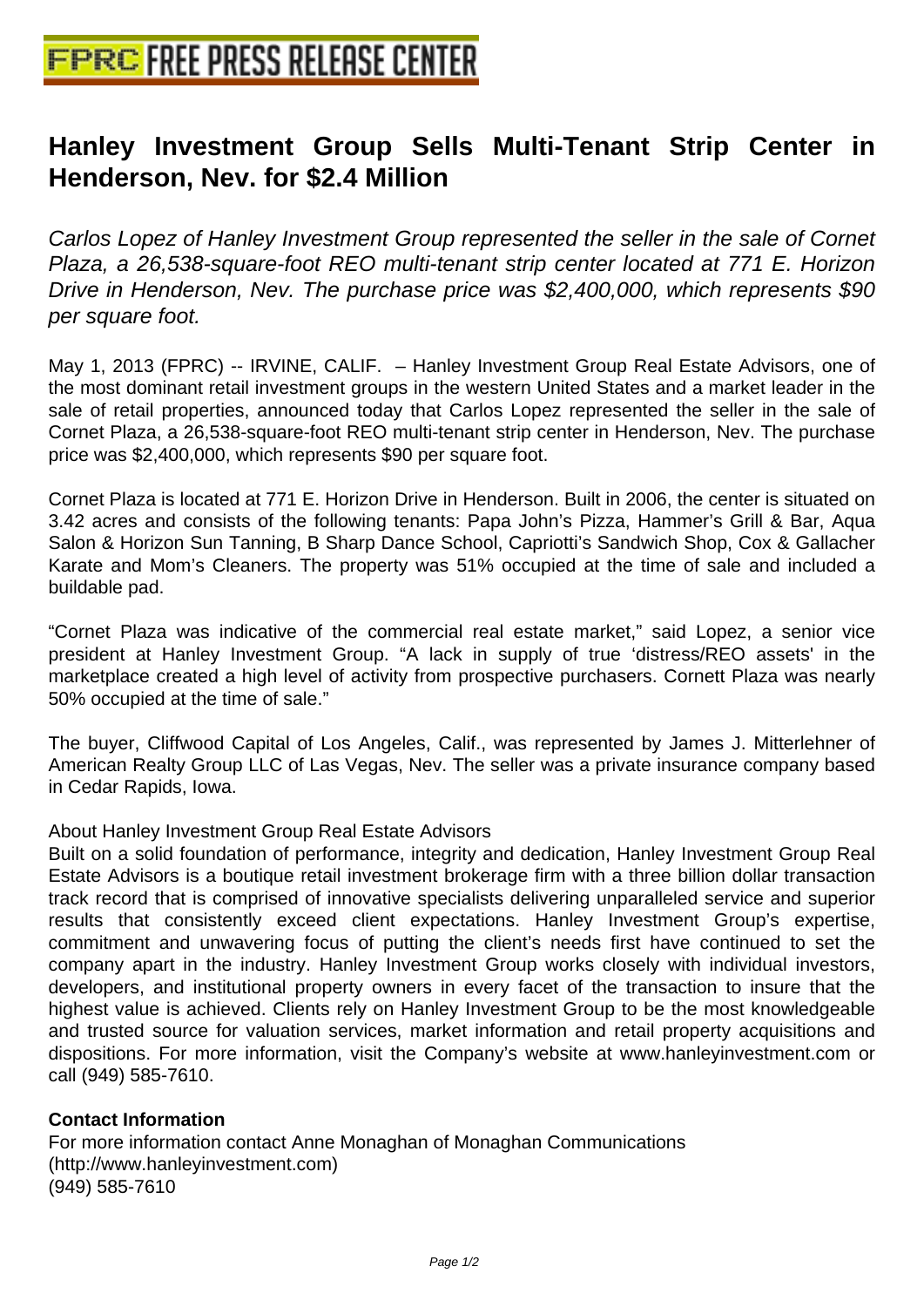## **[Hanley Investment Group Sells](http://www.free-press-release-center.info) Multi-Tenant Strip Center in Henderson, Nev. for \$2.4 Million**

Carlos Lopez of Hanley Investment Group represented the seller in the sale of Cornet Plaza, a 26,538-square-foot REO multi-tenant strip center located at 771 E. Horizon Drive in Henderson, Nev. The purchase price was \$2,400,000, which represents \$90 per square foot.

May 1, 2013 (FPRC) -- IRVINE, CALIF. – Hanley Investment Group Real Estate Advisors, one of the most dominant retail investment groups in the western United States and a market leader in the sale of retail properties, announced today that Carlos Lopez represented the seller in the sale of Cornet Plaza, a 26,538-square-foot REO multi-tenant strip center in Henderson, Nev. The purchase price was \$2,400,000, which represents \$90 per square foot.

Cornet Plaza is located at 771 E. Horizon Drive in Henderson. Built in 2006, the center is situated on 3.42 acres and consists of the following tenants: Papa John's Pizza, Hammer's Grill & Bar, Aqua Salon & Horizon Sun Tanning, B Sharp Dance School, Capriotti's Sandwich Shop, Cox & Gallacher Karate and Mom's Cleaners. The property was 51% occupied at the time of sale and included a buildable pad.

"Cornet Plaza was indicative of the commercial real estate market," said Lopez, a senior vice president at Hanley Investment Group. "A lack in supply of true 'distress/REO assets' in the marketplace created a high level of activity from prospective purchasers. Cornett Plaza was nearly 50% occupied at the time of sale."

The buyer, Cliffwood Capital of Los Angeles, Calif., was represented by James J. Mitterlehner of American Realty Group LLC of Las Vegas, Nev. The seller was a private insurance company based in Cedar Rapids, Iowa.

About Hanley Investment Group Real Estate Advisors

Built on a solid foundation of performance, integrity and dedication, Hanley Investment Group Real Estate Advisors is a boutique retail investment brokerage firm with a three billion dollar transaction track record that is comprised of innovative specialists delivering unparalleled service and superior results that consistently exceed client expectations. Hanley Investment Group's expertise, commitment and unwavering focus of putting the client's needs first have continued to set the company apart in the industry. Hanley Investment Group works closely with individual investors, developers, and institutional property owners in every facet of the transaction to insure that the highest value is achieved. Clients rely on Hanley Investment Group to be the most knowledgeable and trusted source for valuation services, market information and retail property acquisitions and dispositions. For more information, visit the Company's website at www.hanleyinvestment.com or call (949) 585-7610.

## **Contact Information**

For more information contact Anne Monaghan of Monaghan Communications (http://www.hanleyinvestment.com) (949) 585-7610